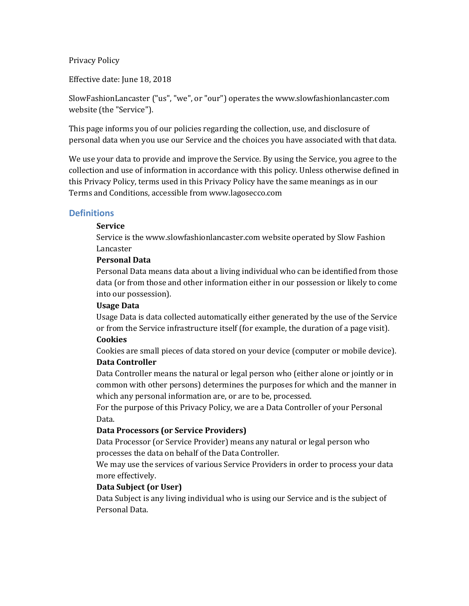Privacy Policy

Effective date: June 18, 2018

SlowFashionLancaster ("us", "we", or "our") operates the www.slowfashionlancaster.com website (the "Service").

This page informs you of our policies regarding the collection, use, and disclosure of personal data when you use our Service and the choices you have associated with that data.

We use your data to provide and improve the Service. By using the Service, you agree to the collection and use of information in accordance with this policy. Unless otherwise defined in this Privacy Policy, terms used in this Privacy Policy have the same meanings as in our Terms and Conditions, accessible from www.lagosecco.com

### **Definitions**

#### **Service**

Service is the www.slowfashionlancaster.com website operated by Slow Fashion Lancaster

#### **Personal Data**

Personal Data means data about a living individual who can be identified from those data (or from those and other information either in our possession or likely to come into our possession).

### **Usage Data**

Usage Data is data collected automatically either generated by the use of the Service or from the Service infrastructure itself (for example, the duration of a page visit). **Cookies**

Cookies are small pieces of data stored on your device (computer or mobile device). **Data Controller**

Data Controller means the natural or legal person who (either alone or jointly or in common with other persons) determines the purposes for which and the manner in which any personal information are, or are to be, processed.

For the purpose of this Privacy Policy, we are a Data Controller of your Personal Data.

### **Data Processors (or Service Providers)**

Data Processor (or Service Provider) means any natural or legal person who processes the data on behalf of the Data Controller.

We may use the services of various Service Providers in order to process your data more effectively.

### **Data Subject (or User)**

Data Subject is any living individual who is using our Service and is the subject of Personal Data.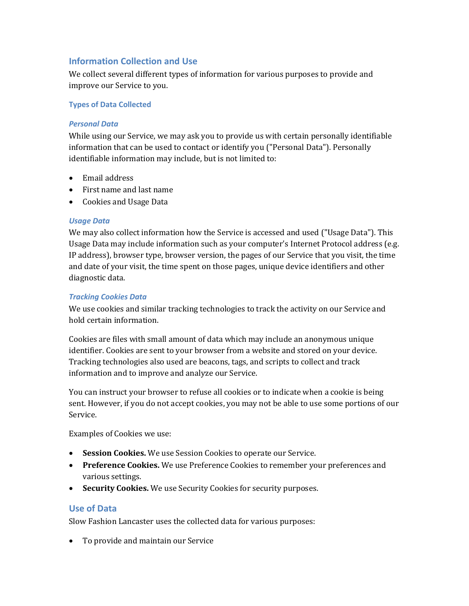### **Information Collection and Use**

We collect several different types of information for various purposes to provide and improve our Service to you.

#### **Types of Data Collected**

#### *Personal Data*

While using our Service, we may ask you to provide us with certain personally identifiable information that can be used to contact or identify you ("Personal Data"). Personally identifiable information may include, but is not limited to:

- Email address
- First name and last name
- Cookies and Usage Data

#### *Usage Data*

We may also collect information how the Service is accessed and used ("Usage Data"). This Usage Data may include information such as your computer's Internet Protocol address (e.g. IP address), browser type, browser version, the pages of our Service that you visit, the time and date of your visit, the time spent on those pages, unique device identifiers and other diagnostic data.

#### *Tracking Cookies Data*

We use cookies and similar tracking technologies to track the activity on our Service and hold certain information.

Cookies are files with small amount of data which may include an anonymous unique identifier. Cookies are sent to your browser from a website and stored on your device. Tracking technologies also used are beacons, tags, and scripts to collect and track information and to improve and analyze our Service.

You can instruct your browser to refuse all cookies or to indicate when a cookie is being sent. However, if you do not accept cookies, you may not be able to use some portions of our Service.

Examples of Cookies we use:

- **Session Cookies.** We use Session Cookies to operate our Service.
- **Preference Cookies.** We use Preference Cookies to remember your preferences and various settings.
- **Security Cookies.** We use Security Cookies for security purposes.

### **Use of Data**

Slow Fashion Lancaster uses the collected data for various purposes:

To provide and maintain our Service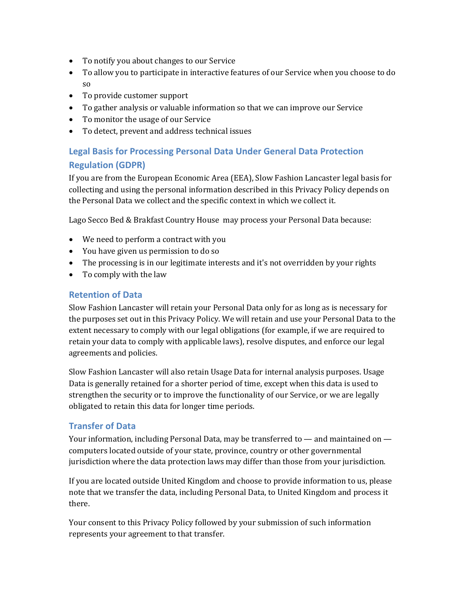- To notify you about changes to our Service
- To allow you to participate in interactive features of our Service when you choose to do so
- To provide customer support
- To gather analysis or valuable information so that we can improve our Service
- To monitor the usage of our Service
- To detect, prevent and address technical issues

# **Legal Basis for Processing Personal Data Under General Data Protection Regulation (GDPR)**

If you are from the European Economic Area (EEA), Slow Fashion Lancaster legal basis for collecting and using the personal information described in this Privacy Policy depends on the Personal Data we collect and the specific context in which we collect it.

Lago Secco Bed & Brakfast Country House may process your Personal Data because:

- We need to perform a contract with you
- You have given us permission to do so
- The processing is in our legitimate interests and it's not overridden by your rights
- To comply with the law

## **Retention of Data**

Slow Fashion Lancaster will retain your Personal Data only for as long as is necessary for the purposes set out in this Privacy Policy. We will retain and use your Personal Data to the extent necessary to comply with our legal obligations (for example, if we are required to retain your data to comply with applicable laws), resolve disputes, and enforce our legal agreements and policies.

Slow Fashion Lancaster will also retain Usage Data for internal analysis purposes. Usage Data is generally retained for a shorter period of time, except when this data is used to strengthen the security or to improve the functionality of our Service, or we are legally obligated to retain this data for longer time periods.

## **Transfer of Data**

Your information, including Personal Data, may be transferred to — and maintained on computers located outside of your state, province, country or other governmental jurisdiction where the data protection laws may differ than those from your jurisdiction.

If you are located outside United Kingdom and choose to provide information to us, please note that we transfer the data, including Personal Data, to United Kingdom and process it there.

Your consent to this Privacy Policy followed by your submission of such information represents your agreement to that transfer.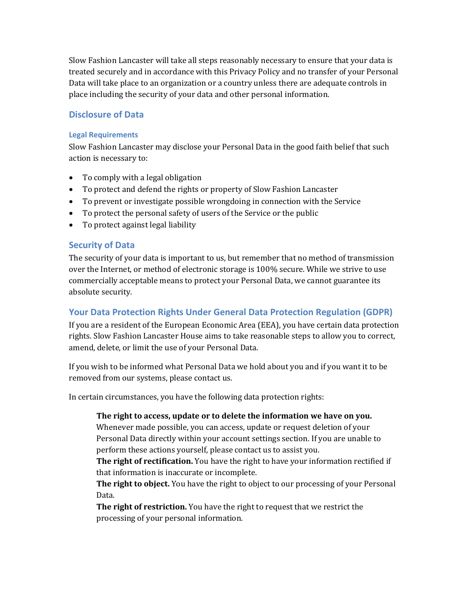Slow Fashion Lancaster will take all steps reasonably necessary to ensure that your data is treated securely and in accordance with this Privacy Policy and no transfer of your Personal Data will take place to an organization or a country unless there are adequate controls in place including the security of your data and other personal information.

### **Disclosure of Data**

### **Legal Requirements**

Slow Fashion Lancaster may disclose your Personal Data in the good faith belief that such action is necessary to:

- To comply with a legal obligation
- To protect and defend the rights or property of Slow Fashion Lancaster
- To prevent or investigate possible wrongdoing in connection with the Service
- To protect the personal safety of users of the Service or the public
- To protect against legal liability

### **Security of Data**

The security of your data is important to us, but remember that no method of transmission over the Internet, or method of electronic storage is 100% secure. While we strive to use commercially acceptable means to protect your Personal Data, we cannot guarantee its absolute security.

## **Your Data Protection Rights Under General Data Protection Regulation (GDPR)**

If you are a resident of the European Economic Area (EEA), you have certain data protection rights. Slow Fashion Lancaster House aims to take reasonable steps to allow you to correct, amend, delete, or limit the use of your Personal Data.

If you wish to be informed what Personal Data we hold about you and if you want it to be removed from our systems, please contact us.

In certain circumstances, you have the following data protection rights:

**The right to access, update or to delete the information we have on you.**

Whenever made possible, you can access, update or request deletion of your Personal Data directly within your account settings section. If you are unable to perform these actions yourself, please contact us to assist you.

**The right of rectification.** You have the right to have your information rectified if that information is inaccurate or incomplete.

**The right to object.** You have the right to object to our processing of your Personal Data.

**The right of restriction.** You have the right to request that we restrict the processing of your personal information.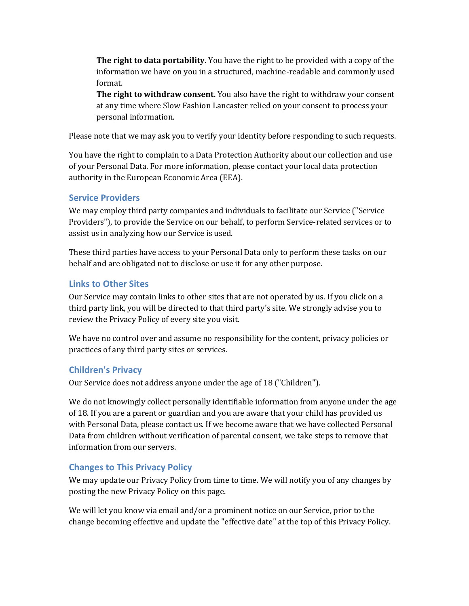**The right to data portability.** You have the right to be provided with a copy of the information we have on you in a structured, machine-readable and commonly used format.

**The right to withdraw consent.** You also have the right to withdraw your consent at any time where Slow Fashion Lancaster relied on your consent to process your personal information.

Please note that we may ask you to verify your identity before responding to such requests.

You have the right to complain to a Data Protection Authority about our collection and use of your Personal Data. For more information, please contact your local data protection authority in the European Economic Area (EEA).

## **Service Providers**

We may employ third party companies and individuals to facilitate our Service ("Service Providers"), to provide the Service on our behalf, to perform Service-related services or to assist us in analyzing how our Service is used.

These third parties have access to your Personal Data only to perform these tasks on our behalf and are obligated not to disclose or use it for any other purpose.

## **Links to Other Sites**

Our Service may contain links to other sites that are not operated by us. If you click on a third party link, you will be directed to that third party's site. We strongly advise you to review the Privacy Policy of every site you visit.

We have no control over and assume no responsibility for the content, privacy policies or practices of any third party sites or services.

### **Children's Privacy**

Our Service does not address anyone under the age of 18 ("Children").

We do not knowingly collect personally identifiable information from anyone under the age of 18. If you are a parent or guardian and you are aware that your child has provided us with Personal Data, please contact us. If we become aware that we have collected Personal Data from children without verification of parental consent, we take steps to remove that information from our servers.

### **Changes to This Privacy Policy**

We may update our Privacy Policy from time to time. We will notify you of any changes by posting the new Privacy Policy on this page.

We will let you know via email and/or a prominent notice on our Service, prior to the change becoming effective and update the "effective date" at the top of this Privacy Policy.